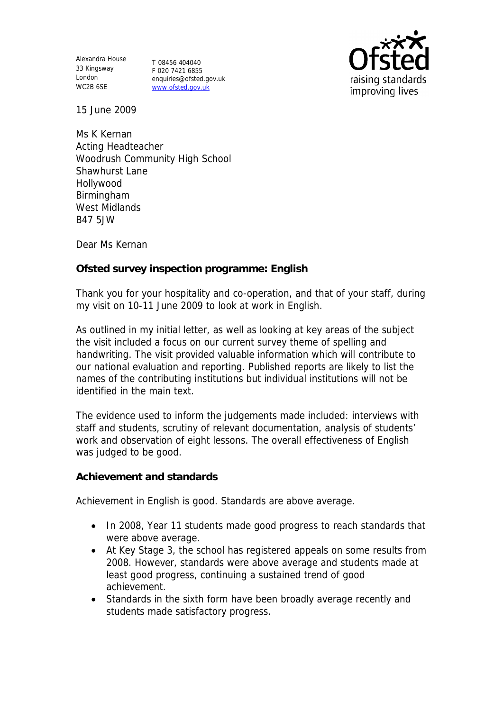Alexandra House 33 Kingsway London WC2B 6SE

T 08456 404040 F 020 7421 6855 enquiries@ofsted.gov.uk www.ofsted.gov.uk



15 June 2009

Ms K Kernan Acting Headteacher Woodrush Community High School Shawhurst Lane Hollywood Birmingham West Midlands B47 5JW

Dear Ms Kernan

**Ofsted survey inspection programme: English** 

Thank you for your hospitality and co-operation, and that of your staff, during my visit on 10-11 June 2009 to look at work in English.

As outlined in my initial letter, as well as looking at key areas of the subject the visit included a focus on our current survey theme of spelling and handwriting. The visit provided valuable information which will contribute to our national evaluation and reporting. Published reports are likely to list the names of the contributing institutions but individual institutions will not be identified in the main text.

The evidence used to inform the judgements made included: interviews with staff and students, scrutiny of relevant documentation, analysis of students' work and observation of eight lessons. The overall effectiveness of English was judged to be good.

**Achievement and standards** 

Achievement in English is good. Standards are above average.

- In 2008, Year 11 students made good progress to reach standards that were above average.
- At Key Stage 3, the school has registered appeals on some results from 2008. However, standards were above average and students made at least good progress, continuing a sustained trend of good achievement.
- Standards in the sixth form have been broadly average recently and students made satisfactory progress.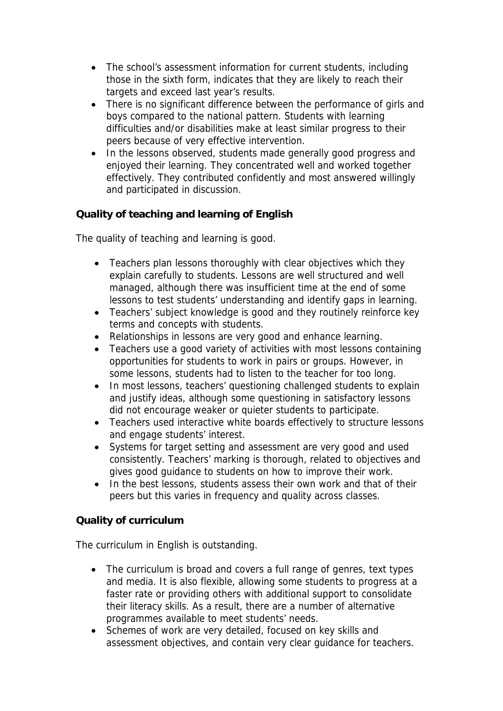- The school's assessment information for current students, including those in the sixth form, indicates that they are likely to reach their targets and exceed last year's results.
- There is no significant difference between the performance of girls and boys compared to the national pattern. Students with learning difficulties and/or disabilities make at least similar progress to their peers because of very effective intervention.
- In the lessons observed, students made generally good progress and enjoyed their learning. They concentrated well and worked together effectively. They contributed confidently and most answered willingly and participated in discussion.

**Quality of teaching and learning of English**

The quality of teaching and learning is good.

- Teachers plan lessons thoroughly with clear objectives which they explain carefully to students. Lessons are well structured and well managed, although there was insufficient time at the end of some lessons to test students' understanding and identify gaps in learning.
- Teachers' subject knowledge is good and they routinely reinforce key terms and concepts with students.
- Relationships in lessons are very good and enhance learning.
- Teachers use a good variety of activities with most lessons containing opportunities for students to work in pairs or groups. However, in some lessons, students had to listen to the teacher for too long.
- In most lessons, teachers' questioning challenged students to explain and justify ideas, although some questioning in satisfactory lessons did not encourage weaker or quieter students to participate.
- Teachers used interactive white boards effectively to structure lessons and engage students' interest.
- Systems for target setting and assessment are very good and used consistently. Teachers' marking is thorough, related to objectives and gives good guidance to students on how to improve their work.
- In the best lessons, students assess their own work and that of their peers but this varies in frequency and quality across classes.

## **Quality of curriculum**

The curriculum in English is outstanding.

- The curriculum is broad and covers a full range of genres, text types and media. It is also flexible, allowing some students to progress at a faster rate or providing others with additional support to consolidate their literacy skills. As a result, there are a number of alternative programmes available to meet students' needs.
- Schemes of work are very detailed, focused on key skills and assessment objectives, and contain very clear guidance for teachers.